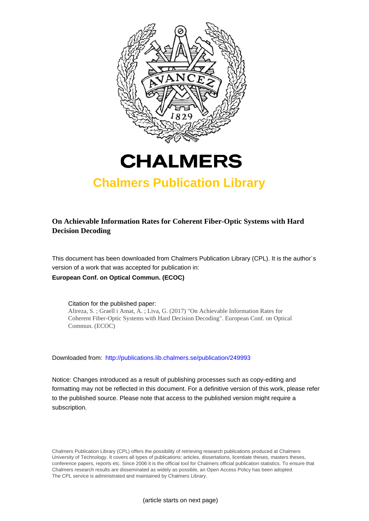



# **Chalmers Publication Library**

### **On Achievable Information Rates for Coherent Fiber-Optic Systems with Hard Decision Decoding**

This document has been downloaded from Chalmers Publication Library (CPL). It is the author´s version of a work that was accepted for publication in: **European Conf. on Optical Commun. (ECOC)**

Citation for the published paper: Alireza, S. ; Graell i Amat, A. ; Liva, G. (2017) "On Achievable Information Rates for Coherent Fiber-Optic Systems with Hard Decision Decoding". European Conf. on Optical Commun. (ECOC)

Downloaded from: <http://publications.lib.chalmers.se/publication/249993>

Notice: Changes introduced as a result of publishing processes such as copy-editing and formatting may not be reflected in this document. For a definitive version of this work, please refer to the published source. Please note that access to the published version might require a subscription.

Chalmers Publication Library (CPL) offers the possibility of retrieving research publications produced at Chalmers University of Technology. It covers all types of publications: articles, dissertations, licentiate theses, masters theses, conference papers, reports etc. Since 2006 it is the official tool for Chalmers official publication statistics. To ensure that Chalmers research results are disseminated as widely as possible, an Open Access Policy has been adopted. The CPL service is administrated and maintained by Chalmers Library.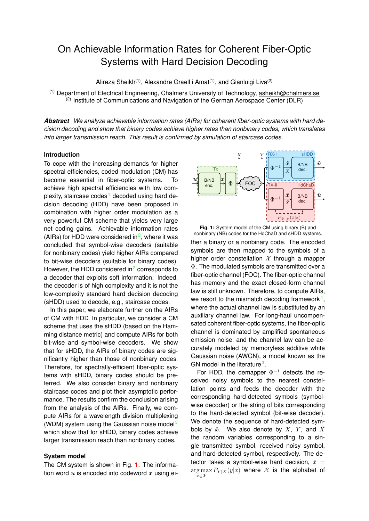## On Achievable Information Rates for Coherent Fiber-Optic Systems with Hard Decision Decoding

Alireza Sheikh<sup>(1)</sup>, Alexandre Graell i Amat<sup>(1)</sup>, and Gianluigi Liva<sup>(2)</sup>

 $<sup>(1)</sup>$  Department of Electrical Engineering, Chalmers University of Technology, asheikh@chalmers.se</sup>  $(2)$  Institute of Communications and Navigation of the German Aerospace Center (DLR)

*Abstract We analyze achievable information rates (AIRs) for coherent fiber-optic systems with hard decision decoding and show that binary codes achieve higher rates than nonbinary codes, which translates into larger transmission reach. This result is confirmed by simulation of staircase codes.*

#### **Introduction**

To cope with the increasing demands for higher spectral efficiencies, coded modulation (CM) has become essential in fiber-optic systems. To achieve high spectral efficiencies with low com-plexity, staircase codes<sup>[1](#page-3-0)</sup> decoded using hard decision decoding (HDD) have been proposed in combination with higher order modulation as a very powerful CM scheme that yields very large net coding gains. Achievable information rates (AIRs) for HDD were considered in<sup>[2](#page-3-1)</sup>, where it was concluded that symbol-wise decoders (suitable for nonbinary codes) yield higher AIRs compared to bit-wise decoders (suitable for binary codes). However, the HDD considered in $<sup>2</sup>$  $<sup>2</sup>$  $<sup>2</sup>$  corresponds to</sup> a decoder that exploits soft information. Indeed, the decoder is of high complexity and it is not the low-complexity standard hard decision decoding (sHDD) used to decode, e.g., staircase codes.

In this paper, we elaborate further on the AIRs of CM with HDD. In particular, we consider a CM scheme that uses the sHDD (based on the Hamming distance metric) and compute AIRs for both bit-wise and symbol-wise decoders. We show that for sHDD, the AIRs of binary codes are significantly higher than those of nonbinary codes. Therefore, for spectrally-efficient fiber-optic systems with sHDD, binary codes should be preferred. We also consider binary and nonbinary staircase codes and plot their asymptotic performance. The results confirm the conclusion arising from the analysis of the AIRs. Finally, we compute AIRs for a wavelength division multiplexing (WDM) system using the Gaussian noise model<sup>[3](#page-3-2)</sup> which show that for sHDD, binary codes achieve larger transmission reach than nonbinary codes.

#### **System model**

The CM system is shown in Fig. [1.](#page-1-0) The information word  $u$  is encoded into codeword  $x$  using ei-

<span id="page-1-0"></span>

**Fig. 1:** System model of the CM using binary (B) and nonbinary (NB) codes for the HdChaD and sHDD systems. ther a binary or a nonbinary code. The encoded symbols are then mapped to the symbols of a higher order constellation  $X$  through a mapper Φ. The modulated symbols are transmitted over a fiber-optic channel (FOC). The fiber-optic channel has memory and the exact closed-form channel law is still unknown. Therefore, to compute AIRs, we resort to the mismatch decoding framework<sup>[4](#page-3-3)</sup>, where the actual channel law is substituted by an auxiliary channel law. For long-haul uncompensated coherent fiber-optic systems, the fiber-optic channel is dominated by amplified spontaneous emission noise, and the channel law can be accurately modeled by memoryless additive white Gaussian noise (AWGN), a model known as the GN model in the literature<sup>[3](#page-3-2)</sup>.

For HDD, the demapper  $\Phi^{-1}$  detects the received noisy symbols to the nearest constellation points and feeds the decoder with the corresponding hard-detected symbols (symbolwise decoder) or the string of bits corresponding to the hard-detected symbol (bit-wise decoder). We denote the sequence of hard-detected symbols by  $\hat{x}$ . We also denote by  $X$ ,  $Y$ , and  $\hat{X}$ the random variables corresponding to a single transmitted symbol, received noisy symbol, and hard-detected symbol, respectively. The detector takes a symbol-wise hard decision,  $\hat{x} =$  $\arg \max P_{Y|X}(y|x)$  where X is the alphabet of  $x ∈ X$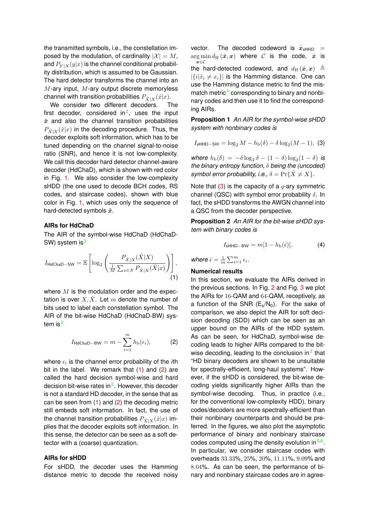the transmitted symbols, i.e., the constellation imposed by the modulation, of cardinality  $|\mathcal{X}| = M$ , and  $P_{Y|X}(y|x)$  is the channel conditional probability distribution, which is assumed to be Gaussian. The hard detector transforms the channel into an  $M$ -ary input,  $M$ -ary output discrete memoryless channel with transition probabilities  $P_{\hat{X}|X}(\hat{x}|x)$ .

We consider two different decoders. The first decoder, considered in<sup>[2](#page-3-1)</sup>, uses the input  $\hat{x}$  and also the channel transition probabilities  $P_{\hat{X}|X}(\hat{x}|x)$  in the decoding procedure. Thus, the decoder exploits soft information, which has to be tuned depending on the channel signal-to-noise ratio (SNR), and hence it is not low-complexity. We call this decoder hard detector channel-aware decoder (HdChaD), which is shown with red color in Fig. [1.](#page-1-0) We also consider the low-complexity sHDD (the one used to decode BCH codes, RS codes, and staircase codes), shown with blue color in Fig. [1,](#page-1-0) which uses only the sequence of hard-detected symbols  $\hat{x}$ .

#### **AIRs for HdChaD**

The AIR of the symbol-wise HdChaD (HdChaD-SW) system is<sup>[2](#page-3-1)</sup>

$$
I_{\text{HdChaD-SW}} = \mathbb{E}\left[\log_2\left(\frac{P_{\hat{X}|X}(\hat{X}|X)}{\frac{1}{M}\sum_{x\in\mathcal{X}}P_{\hat{X}|X}(\hat{X}|x)}\right)\right],\tag{1}
$$

where  $M$  is the modulation order and the expectation is over  $X, \overline{X}$ . Let m denote the number of bits used to label each constellation symbol. The AIR of the bit-wise HdChaD (HdChaD-BW) sys-tem is<sup>[2](#page-3-1)</sup>

$$
I_{\text{HdChaD-BW}} = m - \sum_{i=1}^{m} h_{\text{b}}(\epsilon_i), \tag{2}
$$

where  $\epsilon_i$  is the channel error probability of the *i*th bit in the label. We remark that [\(1\)](#page-2-0) and [\(2\)](#page-2-1) are called the hard decision symbol-wise and hard decision bit-wise rates in<sup>[2](#page-3-1)</sup>. However, this decoder is not a standard HD decoder, in the sense that as can be seen from  $(1)$  and  $(2)$  the decoding metric still embeds soft information. In fact, the use of the channel transition probabilities  $P_{\hat{X}|X}(\hat{x}|x)$  implies that the decoder exploits soft information. In this sense, the detector can be seen as a soft detector with a (coarse) quantization.

#### **AIRs for sHDD**

For sHDD, the decoder uses the Hamming distance metric to decode the received noisy vector. The decoded codeword is  $\hat{x}_{\text{sHHD}}$  $\arg \min d_H(\hat{\boldsymbol{x}}, \boldsymbol{x})$  where  $\mathcal C$  is the code,  $\hat{\boldsymbol{x}}$  is x∈C the hard-detected codeword, and  $d_H(\hat{\boldsymbol{x}}, \boldsymbol{x}) \triangleq$  $|\{i|\hat{x}_i \neq x_i\}|$  is the Hamming distance. One can use the Hamming distance metric to find the mis-match metric<sup>[4](#page-3-3)</sup> corresponding to binary and nonbinary codes and then use it to find the corresponding AIRs.

**Proposition 1** *An AIR for the symbol-wise sHDD system with nonbinary codes is*

<span id="page-2-2"></span>
$$
I_{\text{sHHD-SW}} = \log_2 M - h_{\text{b}}(\delta) - \delta \log_2 (M - 1), \tag{3}
$$

where  $h_{\text{b}}(\delta) = -\delta \log_2 \delta - (1 - \delta) \log_2 (1 - \delta)$  is *the binary entropy function,* δ *being the (uncoded) symbol error probability, i.e.,*  $\delta = \Pr{\{\hat{X} \neq X\}}$ .

Note that  $(3)$  is the capacity of a  $q$ -ary symmetric channel (QSC) with symbol error probability  $\delta$ . In fact, the sHDD transforms the AWGN channel into a QSC from the decoder perspective.

**Proposition 2** *An AIR for the bit-wise sHDD system with binary codes is*

$$
I_{\sf sHHD-BW} = m[1 - h_{\sf b}(\bar{\epsilon})],\tag{4}
$$

where  $\bar{\epsilon} = \frac{1}{m} \sum_{i=1}^{m} \epsilon_i$ .

#### <span id="page-2-0"></span>**Numerical results**

<span id="page-2-1"></span>In this section, we evaluate the AIRs derived in the previous sections. In Fig. [2](#page-3-4) and Fig. [3](#page-3-5) we plot the AIRs for 16-QAM and 64-QAM, receptively, as a function of the SNR  $(E_s/N_0)$ . For the sake of comparison, we also depict the AIR for soft decision decoding (SDD) which can be seen as an upper bound on the AIRs of the HDD system. As can be seen, for HdChaD, symbol-wise decoding leads to higher AIRs compared to the bitwise decoding, leading to the conclusion in $2$  that "HD binary decoders are shown to be unsuitable for spectrally-efficient, long-haul systems". However, if the sHDD is considered, the bit-wise decoding yields significantly higher AIRs than the symbol-wise decoding. Thus, in practice (i.e., for the conventional low-complexity HDD), binary codes/decoders are more spectrally-efficient than their nonbinary counterparts and should be preferred. In the figures, we also plot the asymptotic performance of binary and nonbinary staircase codes computed using the density evolution in  $5.6$  $5.6$ . In particular, we consider staircase codes with overheads 33.33%, 25%, 20%, 11.11%, 9.09% and 8.04%. As can be seen, the performance of binary and nonbinary staircase codes are in agree-